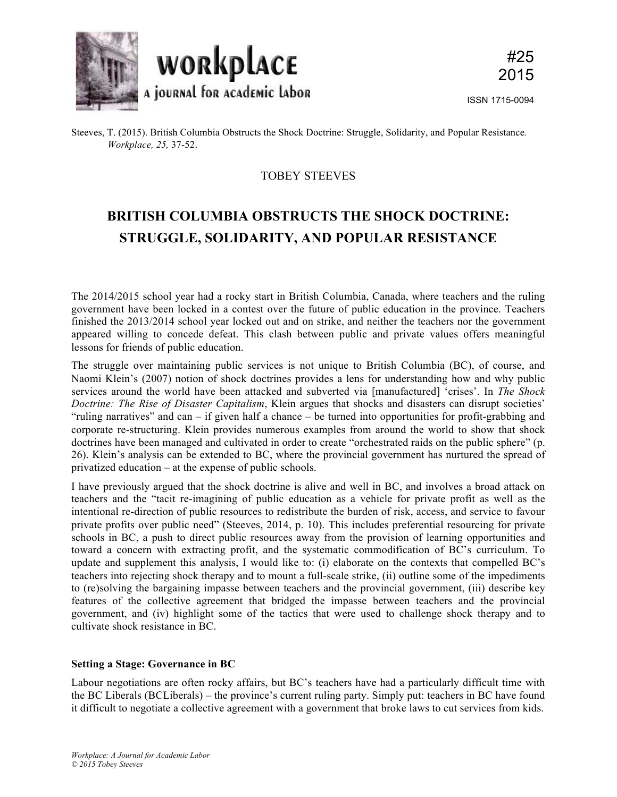

# TOBEY STEEVES

# **BRITISH COLUMBIA OBSTRUCTS THE SHOCK DOCTRINE: STRUGGLE, SOLIDARITY, AND POPULAR RESISTANCE**

The 2014/2015 school year had a rocky start in British Columbia, Canada, where teachers and the ruling government have been locked in a contest over the future of public education in the province. Teachers finished the 2013/2014 school year locked out and on strike, and neither the teachers nor the government appeared willing to concede defeat. This clash between public and private values offers meaningful lessons for friends of public education.

The struggle over maintaining public services is not unique to British Columbia (BC), of course, and Naomi Klein's (2007) notion of shock doctrines provides a lens for understanding how and why public services around the world have been attacked and subverted via [manufactured] 'crises'. In *The Shock Doctrine: The Rise of Disaster Capitalism*, Klein argues that shocks and disasters can disrupt societies' "ruling narratives" and can – if given half a chance – be turned into opportunities for profit-grabbing and corporate re-structuring. Klein provides numerous examples from around the world to show that shock doctrines have been managed and cultivated in order to create "orchestrated raids on the public sphere" (p. 26). Klein's analysis can be extended to BC, where the provincial government has nurtured the spread of privatized education – at the expense of public schools.

I have previously argued that the shock doctrine is alive and well in BC, and involves a broad attack on teachers and the "tacit re-imagining of public education as a vehicle for private profit as well as the intentional re-direction of public resources to redistribute the burden of risk, access, and service to favour private profits over public need" (Steeves, 2014, p. 10). This includes preferential resourcing for private schools in BC, a push to direct public resources away from the provision of learning opportunities and toward a concern with extracting profit, and the systematic commodification of BC's curriculum. To update and supplement this analysis, I would like to: (i) elaborate on the contexts that compelled BC's teachers into rejecting shock therapy and to mount a full-scale strike, (ii) outline some of the impediments to (re)solving the bargaining impasse between teachers and the provincial government, (iii) describe key features of the collective agreement that bridged the impasse between teachers and the provincial government, and (iv) highlight some of the tactics that were used to challenge shock therapy and to cultivate shock resistance in BC.

# **Setting a Stage: Governance in BC**

Labour negotiations are often rocky affairs, but BC's teachers have had a particularly difficult time with the BC Liberals (BCLiberals) – the province's current ruling party. Simply put: teachers in BC have found it difficult to negotiate a collective agreement with a government that broke laws to cut services from kids.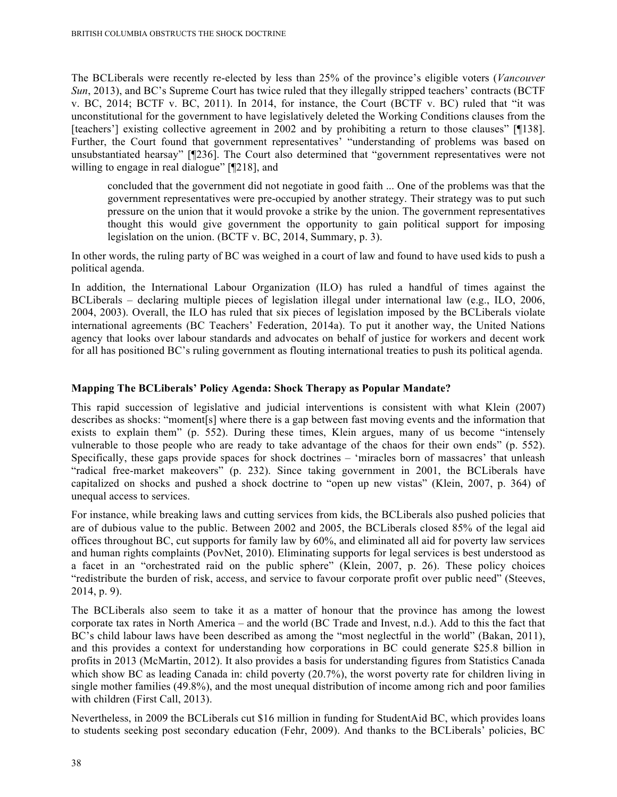The BCLiberals were recently re-elected by less than 25% of the province's eligible voters (*Vancouver Sun*, 2013), and BC's Supreme Court has twice ruled that they illegally stripped teachers' contracts (BCTF v. BC, 2014; BCTF v. BC, 2011). In 2014, for instance, the Court (BCTF v. BC) ruled that "it was unconstitutional for the government to have legislatively deleted the Working Conditions clauses from the [teachers'] existing collective agreement in 2002 and by prohibiting a return to those clauses" [¶138]. Further, the Court found that government representatives' "understanding of problems was based on unsubstantiated hearsay" [¶236]. The Court also determined that "government representatives were not willing to engage in real dialogue" [[218], and

concluded that the government did not negotiate in good faith ... One of the problems was that the government representatives were pre-occupied by another strategy. Their strategy was to put such pressure on the union that it would provoke a strike by the union. The government representatives thought this would give government the opportunity to gain political support for imposing legislation on the union. (BCTF v. BC, 2014, Summary, p. 3).

In other words, the ruling party of BC was weighed in a court of law and found to have used kids to push a political agenda.

In addition, the International Labour Organization (ILO) has ruled a handful of times against the BCLiberals – declaring multiple pieces of legislation illegal under international law (e.g., ILO, 2006, 2004, 2003). Overall, the ILO has ruled that six pieces of legislation imposed by the BCLiberals violate international agreements (BC Teachers' Federation, 2014a). To put it another way, the United Nations agency that looks over labour standards and advocates on behalf of justice for workers and decent work for all has positioned BC's ruling government as flouting international treaties to push its political agenda.

#### **Mapping The BCLiberals' Policy Agenda: Shock Therapy as Popular Mandate?**

This rapid succession of legislative and judicial interventions is consistent with what Klein (2007) describes as shocks: "moment[s] where there is a gap between fast moving events and the information that exists to explain them" (p. 552). During these times, Klein argues, many of us become "intensely vulnerable to those people who are ready to take advantage of the chaos for their own ends" (p. 552). Specifically, these gaps provide spaces for shock doctrines – 'miracles born of massacres' that unleash "radical free-market makeovers" (p. 232). Since taking government in 2001, the BCLiberals have capitalized on shocks and pushed a shock doctrine to "open up new vistas" (Klein, 2007, p. 364) of unequal access to services.

For instance, while breaking laws and cutting services from kids, the BCLiberals also pushed policies that are of dubious value to the public. Between 2002 and 2005, the BCLiberals closed 85% of the legal aid offices throughout BC, cut supports for family law by 60%, and eliminated all aid for poverty law services and human rights complaints (PovNet, 2010). Eliminating supports for legal services is best understood as a facet in an "orchestrated raid on the public sphere" (Klein, 2007, p. 26). These policy choices "redistribute the burden of risk, access, and service to favour corporate profit over public need" (Steeves, 2014, p. 9).

The BCLiberals also seem to take it as a matter of honour that the province has among the lowest corporate tax rates in North America – and the world (BC Trade and Invest, n.d.). Add to this the fact that BC's child labour laws have been described as among the "most neglectful in the world" (Bakan, 2011), and this provides a context for understanding how corporations in BC could generate \$25.8 billion in profits in 2013 (McMartin, 2012). It also provides a basis for understanding figures from Statistics Canada which show BC as leading Canada in: child poverty (20.7%), the worst poverty rate for children living in single mother families (49.8%), and the most unequal distribution of income among rich and poor families with children (First Call, 2013).

Nevertheless, in 2009 the BCLiberals cut \$16 million in funding for StudentAid BC, which provides loans to students seeking post secondary education (Fehr, 2009). And thanks to the BCLiberals' policies, BC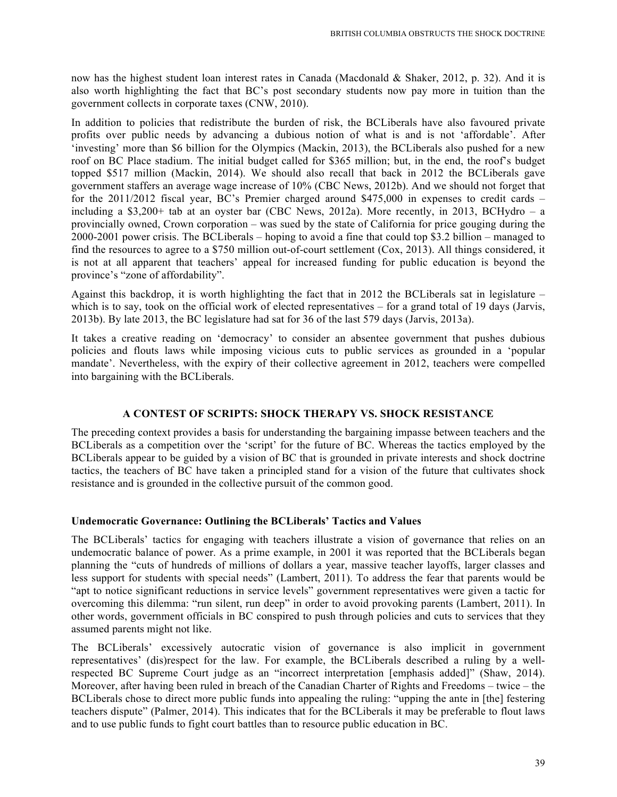now has the highest student loan interest rates in Canada (Macdonald & Shaker, 2012, p. 32). And it is also worth highlighting the fact that BC's post secondary students now pay more in tuition than the government collects in corporate taxes (CNW, 2010).

In addition to policies that redistribute the burden of risk, the BCLiberals have also favoured private profits over public needs by advancing a dubious notion of what is and is not 'affordable'. After 'investing' more than \$6 billion for the Olympics (Mackin, 2013), the BCLiberals also pushed for a new roof on BC Place stadium. The initial budget called for \$365 million; but, in the end, the roof's budget topped \$517 million (Mackin, 2014). We should also recall that back in 2012 the BCLiberals gave government staffers an average wage increase of 10% (CBC News, 2012b). And we should not forget that for the 2011/2012 fiscal year, BC's Premier charged around \$475,000 in expenses to credit cards – including a \$3,200+ tab at an oyster bar (CBC News, 2012a). More recently, in 2013, BCHydro – a provincially owned, Crown corporation – was sued by the state of California for price gouging during the 2000-2001 power crisis. The BCLiberals – hoping to avoid a fine that could top \$3.2 billion – managed to find the resources to agree to a \$750 million out-of-court settlement (Cox, 2013). All things considered, it is not at all apparent that teachers' appeal for increased funding for public education is beyond the province's "zone of affordability".

Against this backdrop, it is worth highlighting the fact that in 2012 the BCLiberals sat in legislature – which is to say, took on the official work of elected representatives – for a grand total of 19 days (Jarvis, 2013b). By late 2013, the BC legislature had sat for 36 of the last 579 days (Jarvis, 2013a).

It takes a creative reading on 'democracy' to consider an absentee government that pushes dubious policies and flouts laws while imposing vicious cuts to public services as grounded in a 'popular mandate'. Nevertheless, with the expiry of their collective agreement in 2012, teachers were compelled into bargaining with the BCLiberals.

# **A CONTEST OF SCRIPTS: SHOCK THERAPY VS. SHOCK RESISTANCE**

The preceding context provides a basis for understanding the bargaining impasse between teachers and the BCLiberals as a competition over the 'script' for the future of BC. Whereas the tactics employed by the BCLiberals appear to be guided by a vision of BC that is grounded in private interests and shock doctrine tactics, the teachers of BC have taken a principled stand for a vision of the future that cultivates shock resistance and is grounded in the collective pursuit of the common good.

#### **Undemocratic Governance: Outlining the BCLiberals' Tactics and Values**

The BCLiberals' tactics for engaging with teachers illustrate a vision of governance that relies on an undemocratic balance of power. As a prime example, in 2001 it was reported that the BCLiberals began planning the "cuts of hundreds of millions of dollars a year, massive teacher layoffs, larger classes and less support for students with special needs" (Lambert, 2011). To address the fear that parents would be "apt to notice significant reductions in service levels" government representatives were given a tactic for overcoming this dilemma: "run silent, run deep" in order to avoid provoking parents (Lambert, 2011). In other words, government officials in BC conspired to push through policies and cuts to services that they assumed parents might not like.

The BCLiberals' excessively autocratic vision of governance is also implicit in government representatives' (dis)respect for the law. For example, the BCLiberals described a ruling by a wellrespected BC Supreme Court judge as an "incorrect interpretation [emphasis added]" (Shaw, 2014). Moreover, after having been ruled in breach of the Canadian Charter of Rights and Freedoms – twice – the BCLiberals chose to direct more public funds into appealing the ruling: "upping the ante in [the] festering teachers dispute" (Palmer, 2014). This indicates that for the BCLiberals it may be preferable to flout laws and to use public funds to fight court battles than to resource public education in BC.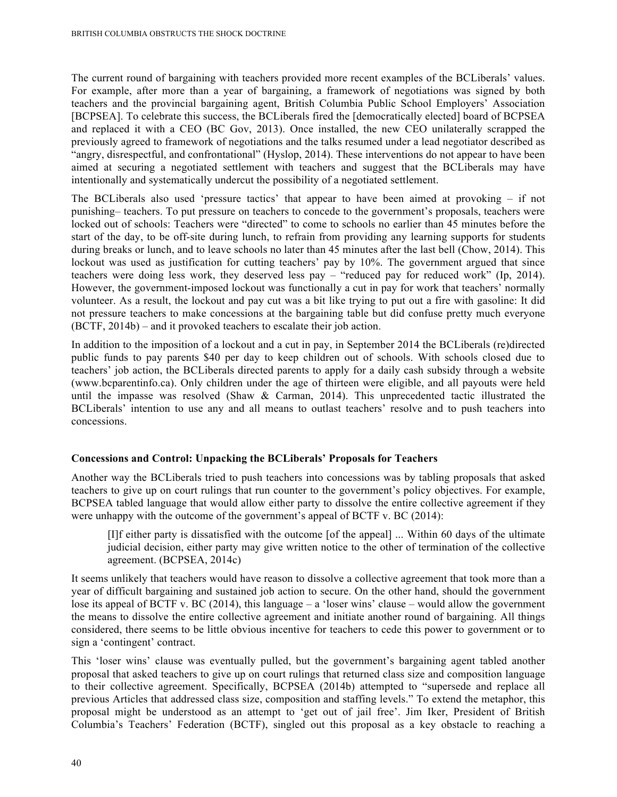The current round of bargaining with teachers provided more recent examples of the BCLiberals' values. For example, after more than a year of bargaining, a framework of negotiations was signed by both teachers and the provincial bargaining agent, British Columbia Public School Employers' Association [BCPSEA]. To celebrate this success, the BCLiberals fired the [democratically elected] board of BCPSEA and replaced it with a CEO (BC Gov, 2013). Once installed, the new CEO unilaterally scrapped the previously agreed to framework of negotiations and the talks resumed under a lead negotiator described as "angry, disrespectful, and confrontational" (Hyslop, 2014). These interventions do not appear to have been aimed at securing a negotiated settlement with teachers and suggest that the BCLiberals may have intentionally and systematically undercut the possibility of a negotiated settlement.

The BCLiberals also used 'pressure tactics' that appear to have been aimed at provoking – if not punishing– teachers. To put pressure on teachers to concede to the government's proposals, teachers were locked out of schools: Teachers were "directed" to come to schools no earlier than 45 minutes before the start of the day, to be off-site during lunch, to refrain from providing any learning supports for students during breaks or lunch, and to leave schools no later than 45 minutes after the last bell (Chow, 2014). This lockout was used as justification for cutting teachers' pay by 10%. The government argued that since teachers were doing less work, they deserved less pay – "reduced pay for reduced work" (Ip, 2014). However, the government-imposed lockout was functionally a cut in pay for work that teachers' normally volunteer. As a result, the lockout and pay cut was a bit like trying to put out a fire with gasoline: It did not pressure teachers to make concessions at the bargaining table but did confuse pretty much everyone (BCTF, 2014b) – and it provoked teachers to escalate their job action.

In addition to the imposition of a lockout and a cut in pay, in September 2014 the BCLiberals (re)directed public funds to pay parents \$40 per day to keep children out of schools. With schools closed due to teachers' job action, the BCLiberals directed parents to apply for a daily cash subsidy through a website (www.bcparentinfo.ca). Only children under the age of thirteen were eligible, and all payouts were held until the impasse was resolved (Shaw & Carman, 2014). This unprecedented tactic illustrated the BCLiberals' intention to use any and all means to outlast teachers' resolve and to push teachers into concessions.

#### **Concessions and Control: Unpacking the BCLiberals' Proposals for Teachers**

Another way the BCLiberals tried to push teachers into concessions was by tabling proposals that asked teachers to give up on court rulings that run counter to the government's policy objectives. For example, BCPSEA tabled language that would allow either party to dissolve the entire collective agreement if they were unhappy with the outcome of the government's appeal of BCTF v. BC (2014):

[I]f either party is dissatisfied with the outcome [of the appeal] ... Within 60 days of the ultimate judicial decision, either party may give written notice to the other of termination of the collective agreement. (BCPSEA, 2014c)

It seems unlikely that teachers would have reason to dissolve a collective agreement that took more than a year of difficult bargaining and sustained job action to secure. On the other hand, should the government lose its appeal of BCTF v. BC (2014), this language – a 'loser wins' clause – would allow the government the means to dissolve the entire collective agreement and initiate another round of bargaining. All things considered, there seems to be little obvious incentive for teachers to cede this power to government or to sign a 'contingent' contract.

This 'loser wins' clause was eventually pulled, but the government's bargaining agent tabled another proposal that asked teachers to give up on court rulings that returned class size and composition language to their collective agreement. Specifically, BCPSEA (2014b) attempted to "supersede and replace all previous Articles that addressed class size, composition and staffing levels." To extend the metaphor, this proposal might be understood as an attempt to 'get out of jail free'. Jim Iker, President of British Columbia's Teachers' Federation (BCTF), singled out this proposal as a key obstacle to reaching a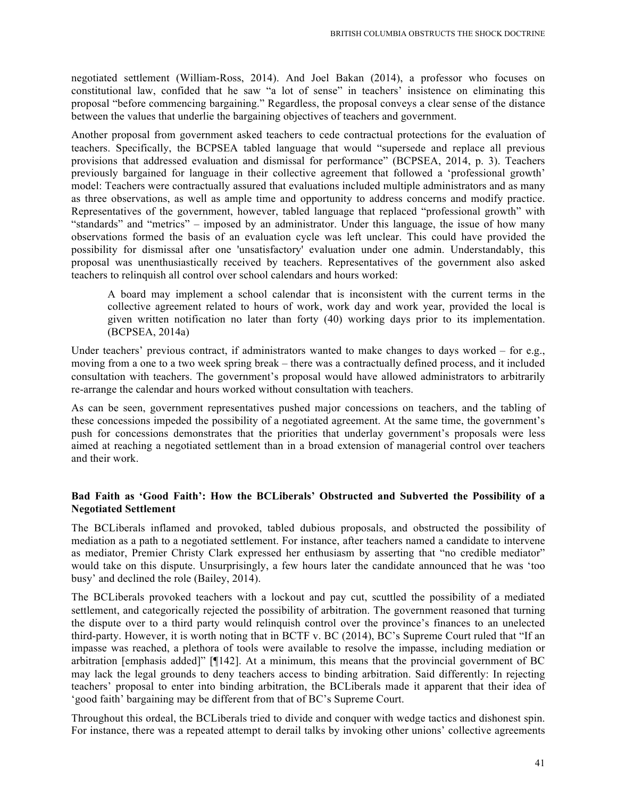negotiated settlement (William-Ross, 2014). And Joel Bakan (2014), a professor who focuses on constitutional law, confided that he saw "a lot of sense" in teachers' insistence on eliminating this proposal "before commencing bargaining." Regardless, the proposal conveys a clear sense of the distance between the values that underlie the bargaining objectives of teachers and government.

Another proposal from government asked teachers to cede contractual protections for the evaluation of teachers. Specifically, the BCPSEA tabled language that would "supersede and replace all previous provisions that addressed evaluation and dismissal for performance" (BCPSEA, 2014, p. 3). Teachers previously bargained for language in their collective agreement that followed a 'professional growth' model: Teachers were contractually assured that evaluations included multiple administrators and as many as three observations, as well as ample time and opportunity to address concerns and modify practice. Representatives of the government, however, tabled language that replaced "professional growth" with "standards" and "metrics" – imposed by an administrator. Under this language, the issue of how many observations formed the basis of an evaluation cycle was left unclear. This could have provided the possibility for dismissal after one 'unsatisfactory' evaluation under one admin. Understandably, this proposal was unenthusiastically received by teachers. Representatives of the government also asked teachers to relinquish all control over school calendars and hours worked:

A board may implement a school calendar that is inconsistent with the current terms in the collective agreement related to hours of work, work day and work year, provided the local is given written notification no later than forty (40) working days prior to its implementation. (BCPSEA, 2014a)

Under teachers' previous contract, if administrators wanted to make changes to days worked – for e.g., moving from a one to a two week spring break – there was a contractually defined process, and it included consultation with teachers. The government's proposal would have allowed administrators to arbitrarily re-arrange the calendar and hours worked without consultation with teachers.

As can be seen, government representatives pushed major concessions on teachers, and the tabling of these concessions impeded the possibility of a negotiated agreement. At the same time, the government's push for concessions demonstrates that the priorities that underlay government's proposals were less aimed at reaching a negotiated settlement than in a broad extension of managerial control over teachers and their work.

# **Bad Faith as 'Good Faith': How the BCLiberals' Obstructed and Subverted the Possibility of a Negotiated Settlement**

The BCLiberals inflamed and provoked, tabled dubious proposals, and obstructed the possibility of mediation as a path to a negotiated settlement. For instance, after teachers named a candidate to intervene as mediator, Premier Christy Clark expressed her enthusiasm by asserting that "no credible mediator" would take on this dispute. Unsurprisingly, a few hours later the candidate announced that he was 'too busy' and declined the role (Bailey, 2014).

The BCLiberals provoked teachers with a lockout and pay cut, scuttled the possibility of a mediated settlement, and categorically rejected the possibility of arbitration. The government reasoned that turning the dispute over to a third party would relinquish control over the province's finances to an unelected third-party. However, it is worth noting that in BCTF v. BC (2014), BC's Supreme Court ruled that "If an impasse was reached, a plethora of tools were available to resolve the impasse, including mediation or arbitration [emphasis added]" [¶142]. At a minimum, this means that the provincial government of BC may lack the legal grounds to deny teachers access to binding arbitration. Said differently: In rejecting teachers' proposal to enter into binding arbitration, the BCLiberals made it apparent that their idea of 'good faith' bargaining may be different from that of BC's Supreme Court.

Throughout this ordeal, the BCLiberals tried to divide and conquer with wedge tactics and dishonest spin. For instance, there was a repeated attempt to derail talks by invoking other unions' collective agreements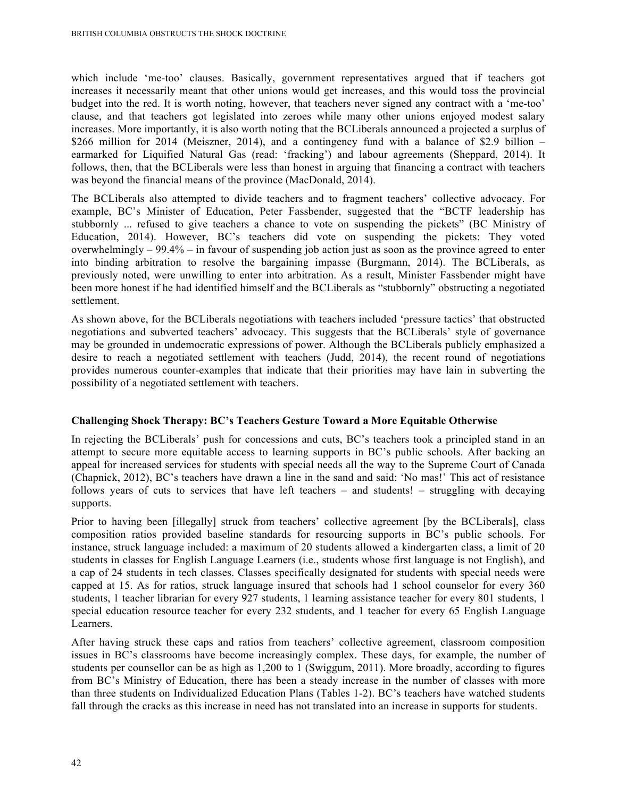which include 'me-too' clauses. Basically, government representatives argued that if teachers got increases it necessarily meant that other unions would get increases, and this would toss the provincial budget into the red. It is worth noting, however, that teachers never signed any contract with a 'me-too' clause, and that teachers got legislated into zeroes while many other unions enjoyed modest salary increases. More importantly, it is also worth noting that the BCLiberals announced a projected a surplus of \$266 million for 2014 (Meiszner, 2014), and a contingency fund with a balance of \$2.9 billion – earmarked for Liquified Natural Gas (read: 'fracking') and labour agreements (Sheppard, 2014). It follows, then, that the BCLiberals were less than honest in arguing that financing a contract with teachers was beyond the financial means of the province (MacDonald, 2014).

The BCLiberals also attempted to divide teachers and to fragment teachers' collective advocacy. For example, BC's Minister of Education, Peter Fassbender, suggested that the "BCTF leadership has stubbornly ... refused to give teachers a chance to vote on suspending the pickets" (BC Ministry of Education, 2014). However, BC's teachers did vote on suspending the pickets: They voted overwhelmingly – 99.4% – in favour of suspending job action just as soon as the province agreed to enter into binding arbitration to resolve the bargaining impasse (Burgmann, 2014). The BCLiberals, as previously noted, were unwilling to enter into arbitration. As a result, Minister Fassbender might have been more honest if he had identified himself and the BCLiberals as "stubbornly" obstructing a negotiated settlement.

As shown above, for the BCLiberals negotiations with teachers included 'pressure tactics' that obstructed negotiations and subverted teachers' advocacy. This suggests that the BCLiberals' style of governance may be grounded in undemocratic expressions of power. Although the BCLiberals publicly emphasized a desire to reach a negotiated settlement with teachers (Judd, 2014), the recent round of negotiations provides numerous counter-examples that indicate that their priorities may have lain in subverting the possibility of a negotiated settlement with teachers.

# **Challenging Shock Therapy: BC's Teachers Gesture Toward a More Equitable Otherwise**

In rejecting the BCLiberals' push for concessions and cuts, BC's teachers took a principled stand in an attempt to secure more equitable access to learning supports in BC's public schools. After backing an appeal for increased services for students with special needs all the way to the Supreme Court of Canada (Chapnick, 2012), BC's teachers have drawn a line in the sand and said: 'No mas!' This act of resistance follows years of cuts to services that have left teachers – and students! – struggling with decaying supports.

Prior to having been [illegally] struck from teachers' collective agreement [by the BCLiberals], class composition ratios provided baseline standards for resourcing supports in BC's public schools. For instance, struck language included: a maximum of 20 students allowed a kindergarten class, a limit of 20 students in classes for English Language Learners (i.e., students whose first language is not English), and a cap of 24 students in tech classes. Classes specifically designated for students with special needs were capped at 15. As for ratios, struck language insured that schools had 1 school counselor for every 360 students, 1 teacher librarian for every 927 students, 1 learning assistance teacher for every 801 students, 1 special education resource teacher for every 232 students, and 1 teacher for every 65 English Language Learners.

After having struck these caps and ratios from teachers' collective agreement, classroom composition issues in BC's classrooms have become increasingly complex. These days, for example, the number of students per counsellor can be as high as 1,200 to 1 (Swiggum, 2011). More broadly, according to figures from BC's Ministry of Education, there has been a steady increase in the number of classes with more than three students on Individualized Education Plans (Tables 1-2). BC's teachers have watched students fall through the cracks as this increase in need has not translated into an increase in supports for students.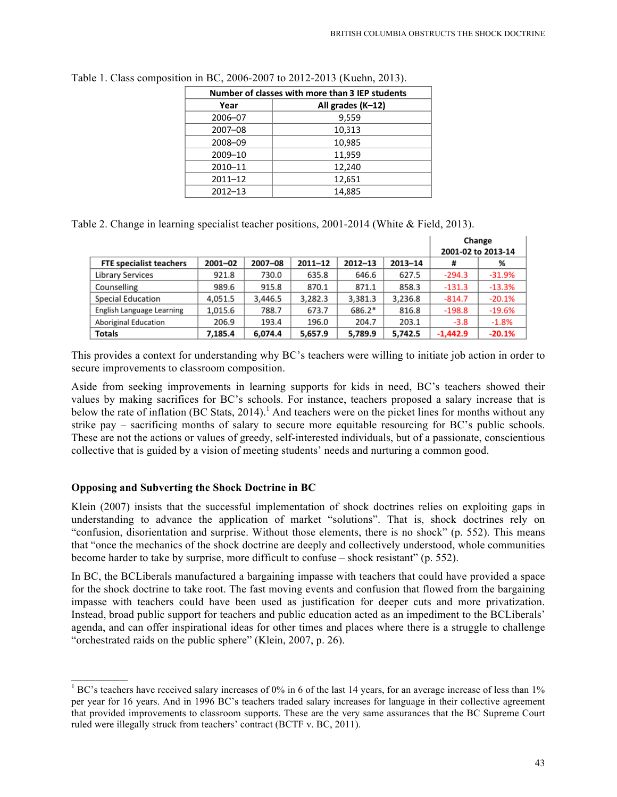| Number of classes with more than 3 IEP students |                   |  |  |  |  |  |
|-------------------------------------------------|-------------------|--|--|--|--|--|
| Year                                            | All grades (K-12) |  |  |  |  |  |
| 2006-07                                         | 9,559             |  |  |  |  |  |
| 2007-08                                         | 10,313            |  |  |  |  |  |
| 2008-09                                         | 10,985            |  |  |  |  |  |
| 2009-10                                         | 11,959            |  |  |  |  |  |
| 2010-11                                         | 12,240            |  |  |  |  |  |
| $2011 - 12$                                     | 12,651            |  |  |  |  |  |
| $2012 - 13$                                     | 14,885            |  |  |  |  |  |

Table 1. Class composition in BC, 2006-2007 to 2012-2013 (Kuehn, 2013).

Table 2. Change in learning specialist teacher positions, 2001-2014 (White & Field, 2013).

|                                |             |         |             |             |         | Change<br>2001-02 to 2013-14 |          |  |
|--------------------------------|-------------|---------|-------------|-------------|---------|------------------------------|----------|--|
| <b>FTE specialist teachers</b> | $2001 - 02$ | 2007-08 | $2011 - 12$ | $2012 - 13$ | 2013-14 | #                            | %        |  |
| Library Services               | 921.8       | 730.0   | 635.8       | 646.6       | 627.5   | $-294.3$                     | $-31.9%$ |  |
| Counselling                    | 989.6       | 915.8   | 870.1       | 871.1       | 858.3   | $-131.3$                     | $-13.3%$ |  |
| <b>Special Education</b>       | 4,051.5     | 3,446.5 | 3,282.3     | 3,381.3     | 3,236.8 | $-814.7$                     | $-20.1%$ |  |
| English Language Learning      | 1,015.6     | 788.7   | 673.7       | 686.2*      | 816.8   | $-198.8$                     | $-19.6%$ |  |
| Aboriginal Education           | 206.9       | 193.4   | 196.0       | 204.7       | 203.1   | $-3.8$                       | $-1.8%$  |  |
| <b>Totals</b>                  | 7.185.4     | 6,074.4 | 5,657.9     | 5,789.9     | 5,742.5 | $-1,442.9$                   | $-20.1%$ |  |

This provides a context for understanding why BC's teachers were willing to initiate job action in order to secure improvements to classroom composition.

Aside from seeking improvements in learning supports for kids in need, BC's teachers showed their values by making sacrifices for BC's schools. For instance, teachers proposed a salary increase that is below the rate of inflation (BC Stats, 2014).<sup>1</sup> And teachers were on the picket lines for months without any strike pay – sacrificing months of salary to secure more equitable resourcing for BC's public schools. These are not the actions or values of greedy, self-interested individuals, but of a passionate, conscientious collective that is guided by a vision of meeting students' needs and nurturing a common good.

# **Opposing and Subverting the Shock Doctrine in BC**

Klein (2007) insists that the successful implementation of shock doctrines relies on exploiting gaps in understanding to advance the application of market "solutions". That is, shock doctrines rely on "confusion, disorientation and surprise. Without those elements, there is no shock" (p. 552). This means that "once the mechanics of the shock doctrine are deeply and collectively understood, whole communities become harder to take by surprise, more difficult to confuse – shock resistant" (p. 552).

In BC, the BCLiberals manufactured a bargaining impasse with teachers that could have provided a space for the shock doctrine to take root. The fast moving events and confusion that flowed from the bargaining impasse with teachers could have been used as justification for deeper cuts and more privatization. Instead, broad public support for teachers and public education acted as an impediment to the BCLiberals' agenda, and can offer inspirational ideas for other times and places where there is a struggle to challenge "orchestrated raids on the public sphere" (Klein, 2007, p. 26).

 $\frac{1}{1}$  BC's teachers have received salary increases of 0% in 6 of the last 14 years, for an average increase of less than 1% per year for 16 years. And in 1996 BC's teachers traded salary increases for language in their collective agreement that provided improvements to classroom supports. These are the very same assurances that the BC Supreme Court ruled were illegally struck from teachers' contract (BCTF v. BC, 2011).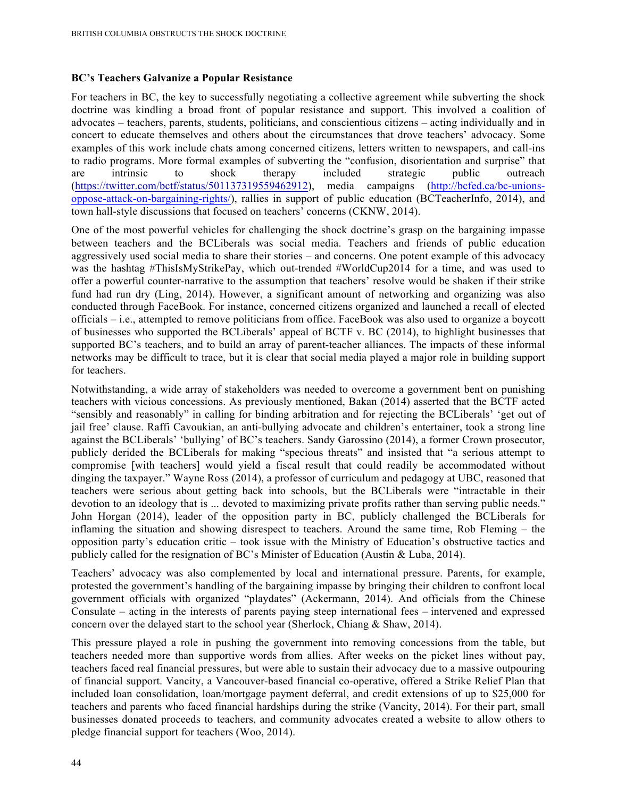#### **BC's Teachers Galvanize a Popular Resistance**

For teachers in BC, the key to successfully negotiating a collective agreement while subverting the shock doctrine was kindling a broad front of popular resistance and support. This involved a coalition of advocates – teachers, parents, students, politicians, and conscientious citizens – acting individually and in concert to educate themselves and others about the circumstances that drove teachers' advocacy. Some examples of this work include chats among concerned citizens, letters written to newspapers, and call-ins to radio programs. More formal examples of subverting the "confusion, disorientation and surprise" that are intrinsic to shock therapy included strategic public outreach (https://twitter.com/bctf/status/501137319559462912), media campaigns (http://bcfed.ca/bc-unionsoppose-attack-on-bargaining-rights/), rallies in support of public education (BCTeacherInfo, 2014), and town hall-style discussions that focused on teachers' concerns (CKNW, 2014).

One of the most powerful vehicles for challenging the shock doctrine's grasp on the bargaining impasse between teachers and the BCLiberals was social media. Teachers and friends of public education aggressively used social media to share their stories – and concerns. One potent example of this advocacy was the hashtag #ThisIsMyStrikePay, which out-trended #WorldCup2014 for a time, and was used to offer a powerful counter-narrative to the assumption that teachers' resolve would be shaken if their strike fund had run dry (Ling, 2014). However, a significant amount of networking and organizing was also conducted through FaceBook. For instance, concerned citizens organized and launched a recall of elected officials – i.e., attempted to remove politicians from office. FaceBook was also used to organize a boycott of businesses who supported the BCLiberals' appeal of BCTF v. BC (2014), to highlight businesses that supported BC's teachers, and to build an array of parent-teacher alliances. The impacts of these informal networks may be difficult to trace, but it is clear that social media played a major role in building support for teachers.

Notwithstanding, a wide array of stakeholders was needed to overcome a government bent on punishing teachers with vicious concessions. As previously mentioned, Bakan (2014) asserted that the BCTF acted "sensibly and reasonably" in calling for binding arbitration and for rejecting the BCLiberals' 'get out of jail free' clause. Raffi Cavoukian, an anti-bullying advocate and children's entertainer, took a strong line against the BCLiberals' 'bullying' of BC's teachers. Sandy Garossino (2014), a former Crown prosecutor, publicly derided the BCLiberals for making "specious threats" and insisted that "a serious attempt to compromise [with teachers] would yield a fiscal result that could readily be accommodated without dinging the taxpayer." Wayne Ross (2014), a professor of curriculum and pedagogy at UBC, reasoned that teachers were serious about getting back into schools, but the BCLiberals were "intractable in their devotion to an ideology that is ... devoted to maximizing private profits rather than serving public needs." John Horgan (2014), leader of the opposition party in BC, publicly challenged the BCLiberals for inflaming the situation and showing disrespect to teachers. Around the same time, Rob Fleming – the opposition party's education critic – took issue with the Ministry of Education's obstructive tactics and publicly called for the resignation of BC's Minister of Education (Austin & Luba, 2014).

Teachers' advocacy was also complemented by local and international pressure. Parents, for example, protested the government's handling of the bargaining impasse by bringing their children to confront local government officials with organized "playdates" (Ackermann, 2014). And officials from the Chinese Consulate – acting in the interests of parents paying steep international fees – intervened and expressed concern over the delayed start to the school year (Sherlock, Chiang & Shaw, 2014).

This pressure played a role in pushing the government into removing concessions from the table, but teachers needed more than supportive words from allies. After weeks on the picket lines without pay, teachers faced real financial pressures, but were able to sustain their advocacy due to a massive outpouring of financial support. Vancity, a Vancouver-based financial co-operative, offered a Strike Relief Plan that included loan consolidation, loan/mortgage payment deferral, and credit extensions of up to \$25,000 for teachers and parents who faced financial hardships during the strike (Vancity, 2014). For their part, small businesses donated proceeds to teachers, and community advocates created a website to allow others to pledge financial support for teachers (Woo, 2014).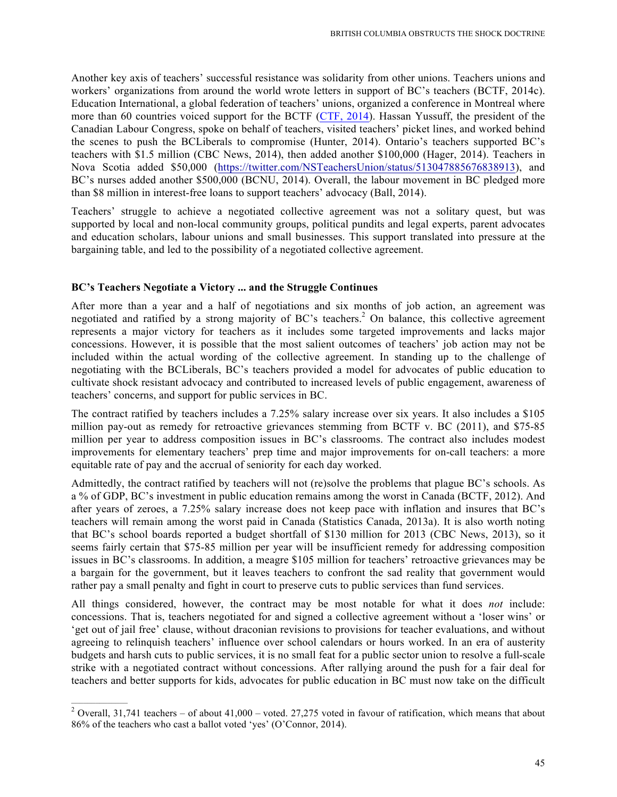Another key axis of teachers' successful resistance was solidarity from other unions. Teachers unions and workers' organizations from around the world wrote letters in support of BC's teachers (BCTF, 2014c). Education International, a global federation of teachers' unions, organized a conference in Montreal where more than 60 countries voiced support for the BCTF (CTF, 2014). Hassan Yussuff, the president of the Canadian Labour Congress, spoke on behalf of teachers, visited teachers' picket lines, and worked behind the scenes to push the BCLiberals to compromise (Hunter, 2014). Ontario's teachers supported BC's teachers with \$1.5 million (CBC News, 2014), then added another \$100,000 (Hager, 2014). Teachers in Nova Scotia added \$50,000 (https://twitter.com/NSTeachersUnion/status/513047885676838913), and BC's nurses added another \$500,000 (BCNU, 2014). Overall, the labour movement in BC pledged more than \$8 million in interest-free loans to support teachers' advocacy (Ball, 2014).

Teachers' struggle to achieve a negotiated collective agreement was not a solitary quest, but was supported by local and non-local community groups, political pundits and legal experts, parent advocates and education scholars, labour unions and small businesses. This support translated into pressure at the bargaining table, and led to the possibility of a negotiated collective agreement.

# **BC's Teachers Negotiate a Victory ... and the Struggle Continues**

After more than a year and a half of negotiations and six months of job action, an agreement was negotiated and ratified by a strong majority of BC's teachers.<sup>2</sup> On balance, this collective agreement represents a major victory for teachers as it includes some targeted improvements and lacks major concessions. However, it is possible that the most salient outcomes of teachers' job action may not be included within the actual wording of the collective agreement. In standing up to the challenge of negotiating with the BCLiberals, BC's teachers provided a model for advocates of public education to cultivate shock resistant advocacy and contributed to increased levels of public engagement, awareness of teachers' concerns, and support for public services in BC.

The contract ratified by teachers includes a 7.25% salary increase over six years. It also includes a \$105 million pay-out as remedy for retroactive grievances stemming from BCTF v. BC (2011), and \$75-85 million per year to address composition issues in BC's classrooms. The contract also includes modest improvements for elementary teachers' prep time and major improvements for on-call teachers: a more equitable rate of pay and the accrual of seniority for each day worked.

Admittedly, the contract ratified by teachers will not (re)solve the problems that plague BC's schools. As a % of GDP, BC's investment in public education remains among the worst in Canada (BCTF, 2012). And after years of zeroes, a 7.25% salary increase does not keep pace with inflation and insures that BC's teachers will remain among the worst paid in Canada (Statistics Canada, 2013a). It is also worth noting that BC's school boards reported a budget shortfall of \$130 million for 2013 (CBC News, 2013), so it seems fairly certain that \$75-85 million per year will be insufficient remedy for addressing composition issues in BC's classrooms. In addition, a meagre \$105 million for teachers' retroactive grievances may be a bargain for the government, but it leaves teachers to confront the sad reality that government would rather pay a small penalty and fight in court to preserve cuts to public services than fund services.

All things considered, however, the contract may be most notable for what it does *not* include: concessions. That is, teachers negotiated for and signed a collective agreement without a 'loser wins' or 'get out of jail free' clause, without draconian revisions to provisions for teacher evaluations, and without agreeing to relinquish teachers' influence over school calendars or hours worked. In an era of austerity budgets and harsh cuts to public services, it is no small feat for a public sector union to resolve a full-scale strike with a negotiated contract without concessions. After rallying around the push for a fair deal for teachers and better supports for kids, advocates for public education in BC must now take on the difficult

 $\frac{1}{2}$  Overall, 31,741 teachers – of about 41,000 – voted. 27,275 voted in favour of ratification, which means that about 86% of the teachers who cast a ballot voted 'yes' (O'Connor, 2014).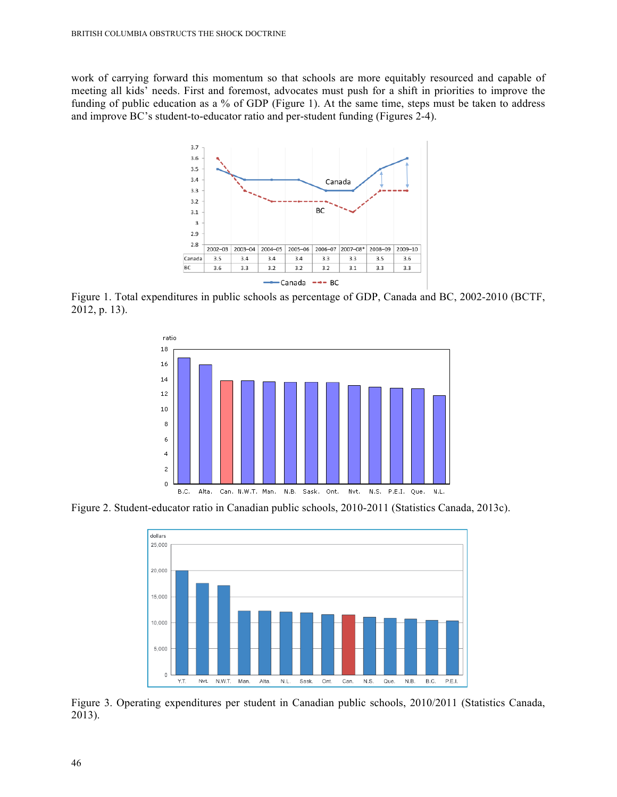work of carrying forward this momentum so that schools are more equitably resourced and capable of meeting all kids' needs. First and foremost, advocates must push for a shift in priorities to improve the funding of public education as a % of GDP (Figure 1). At the same time, steps must be taken to address and improve BC's student-to-educator ratio and per-student funding (Figures 2-4).



Figure 1. Total expenditures in public schools as percentage of GDP, Canada and BC, 2002-2010 (BCTF, 2012, p. 13).



Figure 2. Student-educator ratio in Canadian public schools, 2010-2011 (Statistics Canada, 2013c).



Figure 3. Operating expenditures per student in Canadian public schools, 2010/2011 (Statistics Canada, 2013).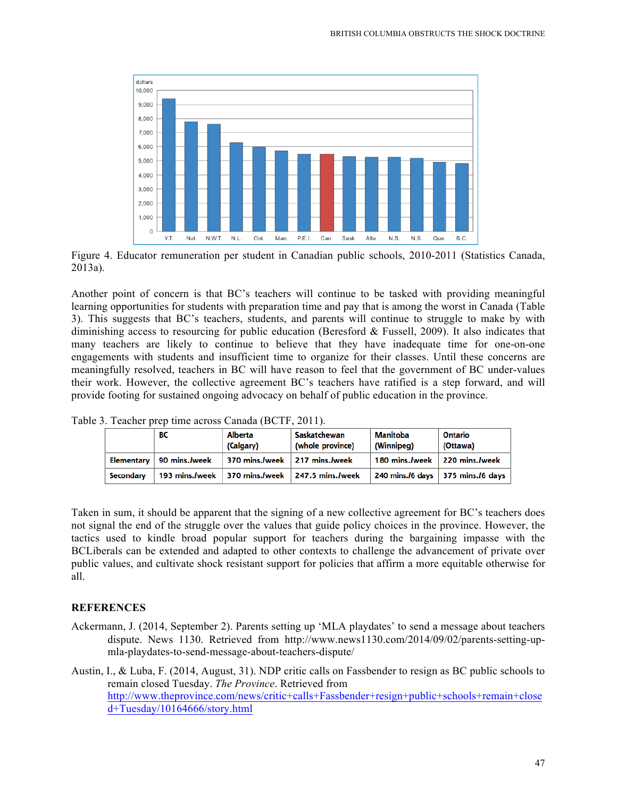

Figure 4. Educator remuneration per student in Canadian public schools, 2010-2011 (Statistics Canada, 2013a).

Another point of concern is that BC's teachers will continue to be tasked with providing meaningful learning opportunities for students with preparation time and pay that is among the worst in Canada (Table 3). This suggests that BC's teachers, students, and parents will continue to struggle to make by with diminishing access to resourcing for public education (Beresford & Fussell, 2009). It also indicates that many teachers are likely to continue to believe that they have inadequate time for one-on-one engagements with students and insufficient time to organize for their classes. Until these concerns are meaningfully resolved, teachers in BC will have reason to feel that the government of BC under-values their work. However, the collective agreement BC's teachers have ratified is a step forward, and will provide footing for sustained ongoing advocacy on behalf of public education in the province.

|            | вс              | Alberta<br>(Calgary)          | Saskatchewan<br>(whole province)               | Manitoba<br>(Winnipeg)        | Ontario<br>(Ottawa)                 |
|------------|-----------------|-------------------------------|------------------------------------------------|-------------------------------|-------------------------------------|
| Elementarv | . 90 mins./week | 370 mins./week 217 mins./week |                                                | 180 mins./week 220 mins./week |                                     |
| Secondary  |                 |                               | 193 mins./week 370 mins./week 247.5 mins./week |                               | 240 mins./6 days   375 mins./6 days |

Table 3. Teacher prep time across Canada (BCTF, 2011).

Taken in sum, it should be apparent that the signing of a new collective agreement for BC's teachers does not signal the end of the struggle over the values that guide policy choices in the province. However, the tactics used to kindle broad popular support for teachers during the bargaining impasse with the BCLiberals can be extended and adapted to other contexts to challenge the advancement of private over public values, and cultivate shock resistant support for policies that affirm a more equitable otherwise for all.

#### **REFERENCES**

Ackermann, J. (2014, September 2). Parents setting up 'MLA playdates' to send a message about teachers dispute. News 1130. Retrieved from http://www.news1130.com/2014/09/02/parents-setting-upmla-playdates-to-send-message-about-teachers-dispute/

Austin, I., & Luba, F. (2014, August, 31). NDP critic calls on Fassbender to resign as BC public schools to remain closed Tuesday. *The Province*. Retrieved from http://www.theprovince.com/news/critic+calls+Fassbender+resign+public+schools+remain+close d+Tuesday/10164666/story.html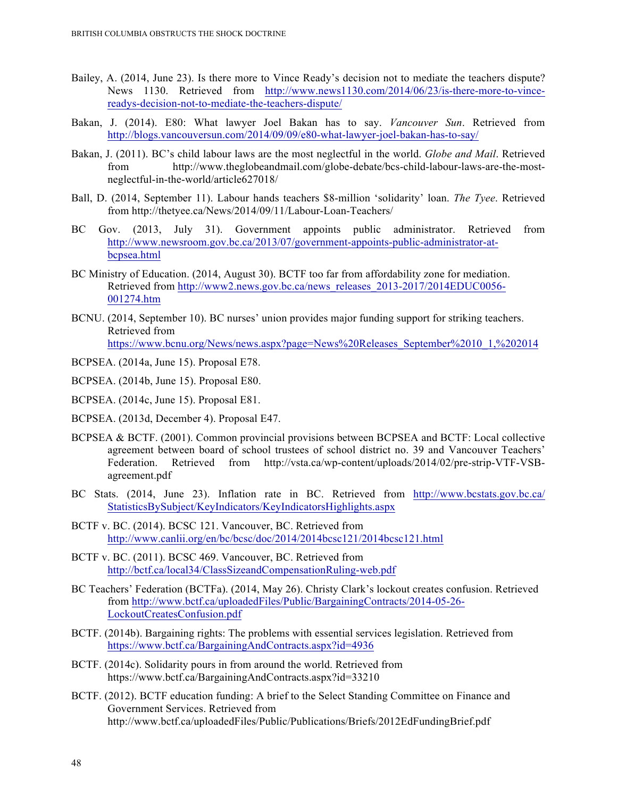- Bailey, A. (2014, June 23). Is there more to Vince Ready's decision not to mediate the teachers dispute? News 1130. Retrieved from http://www.news1130.com/2014/06/23/is-there-more-to-vincereadys-decision-not-to-mediate-the-teachers-dispute/
- Bakan, J. (2014). E80: What lawyer Joel Bakan has to say. *Vancouver Sun*. Retrieved from http://blogs.vancouversun.com/2014/09/09/e80-what-lawyer-joel-bakan-has-to-say/
- Bakan, J. (2011). BC's child labour laws are the most neglectful in the world. *Globe and Mail*. Retrieved from http://www.theglobeandmail.com/globe-debate/bcs-child-labour-laws-are-the-mostneglectful-in-the-world/article627018/
- Ball, D. (2014, September 11). Labour hands teachers \$8-million 'solidarity' loan. *The Tyee*. Retrieved from http://thetyee.ca/News/2014/09/11/Labour-Loan-Teachers/
- BC Gov. (2013, July 31). Government appoints public administrator. Retrieved from http://www.newsroom.gov.bc.ca/2013/07/government-appoints-public-administrator-atbcpsea.html
- BC Ministry of Education. (2014, August 30). BCTF too far from affordability zone for mediation. Retrieved from http://www2.news.gov.bc.ca/news\_releases\_2013-2017/2014EDUC0056- 001274.htm
- BCNU. (2014, September 10). BC nurses' union provides major funding support for striking teachers. Retrieved from https://www.bcnu.org/News/news.aspx?page=News%20Releases\_September%2010\_1,%202014
- BCPSEA. (2014a, June 15). Proposal E78.
- BCPSEA. (2014b, June 15). Proposal E80.
- BCPSEA. (2014c, June 15). Proposal E81.
- BCPSEA. (2013d, December 4). Proposal E47.
- BCPSEA & BCTF. (2001). Common provincial provisions between BCPSEA and BCTF: Local collective agreement between board of school trustees of school district no. 39 and Vancouver Teachers' Federation. Retrieved from http://vsta.ca/wp-content/uploads/2014/02/pre-strip-VTF-VSBagreement.pdf
- BC Stats. (2014, June 23). Inflation rate in BC. Retrieved from http://www.bcstats.gov.bc.ca/ StatisticsBySubject/KeyIndicators/KeyIndicatorsHighlights.aspx
- BCTF v. BC. (2014). BCSC 121. Vancouver, BC. Retrieved from http://www.canlii.org/en/bc/bcsc/doc/2014/2014bcsc121/2014bcsc121.html
- BCTF v. BC. (2011). BCSC 469. Vancouver, BC. Retrieved from http://bctf.ca/local34/ClassSizeandCompensationRuling-web.pdf
- BC Teachers' Federation (BCTFa). (2014, May 26). Christy Clark's lockout creates confusion. Retrieved from http://www.bctf.ca/uploadedFiles/Public/BargainingContracts/2014-05-26- LockoutCreatesConfusion.pdf
- BCTF. (2014b). Bargaining rights: The problems with essential services legislation. Retrieved from https://www.bctf.ca/BargainingAndContracts.aspx?id=4936
- BCTF. (2014c). Solidarity pours in from around the world. Retrieved from https://www.bctf.ca/BargainingAndContracts.aspx?id=33210
- BCTF. (2012). BCTF education funding: A brief to the Select Standing Committee on Finance and Government Services. Retrieved from http://www.bctf.ca/uploadedFiles/Public/Publications/Briefs/2012EdFundingBrief.pdf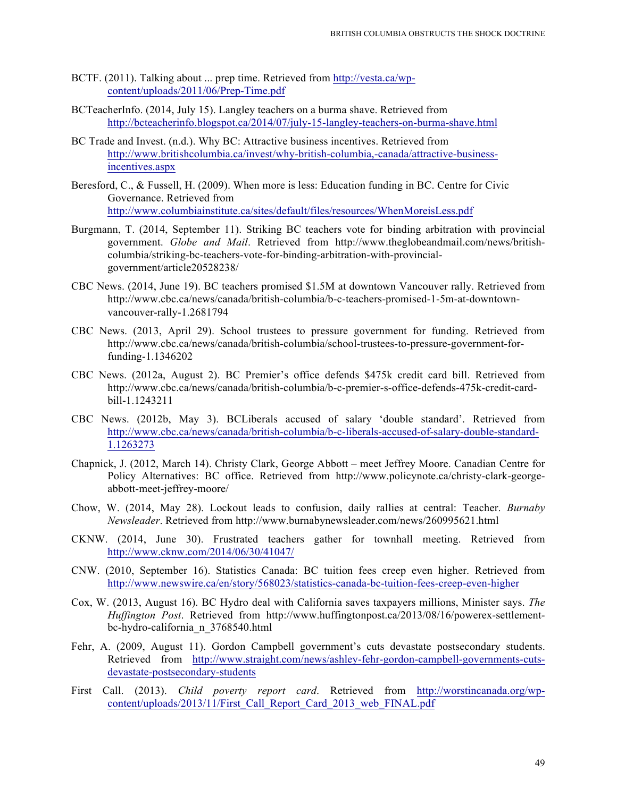- BCTF. (2011). Talking about ... prep time. Retrieved from http://vesta.ca/wpcontent/uploads/2011/06/Prep-Time.pdf
- BCTeacherInfo. (2014, July 15). Langley teachers on a burma shave. Retrieved from http://bcteacherinfo.blogspot.ca/2014/07/july-15-langley-teachers-on-burma-shave.html
- BC Trade and Invest. (n.d.). Why BC: Attractive business incentives. Retrieved from http://www.britishcolumbia.ca/invest/why-british-columbia,-canada/attractive-businessincentives.aspx
- Beresford, C., & Fussell, H. (2009). When more is less: Education funding in BC. Centre for Civic Governance. Retrieved from http://www.columbiainstitute.ca/sites/default/files/resources/WhenMoreisLess.pdf
- Burgmann, T. (2014, September 11). Striking BC teachers vote for binding arbitration with provincial government. *Globe and Mail*. Retrieved from http://www.theglobeandmail.com/news/britishcolumbia/striking-bc-teachers-vote-for-binding-arbitration-with-provincialgovernment/article20528238/
- CBC News. (2014, June 19). BC teachers promised \$1.5M at downtown Vancouver rally. Retrieved from http://www.cbc.ca/news/canada/british-columbia/b-c-teachers-promised-1-5m-at-downtownvancouver-rally-1.2681794
- CBC News. (2013, April 29). School trustees to pressure government for funding. Retrieved from http://www.cbc.ca/news/canada/british-columbia/school-trustees-to-pressure-government-forfunding-1.1346202
- CBC News. (2012a, August 2). BC Premier's office defends \$475k credit card bill. Retrieved from http://www.cbc.ca/news/canada/british-columbia/b-c-premier-s-office-defends-475k-credit-cardbill-1.1243211
- CBC News. (2012b, May 3). BCLiberals accused of salary 'double standard'. Retrieved from http://www.cbc.ca/news/canada/british-columbia/b-c-liberals-accused-of-salary-double-standard-1.1263273
- Chapnick, J. (2012, March 14). Christy Clark, George Abbott meet Jeffrey Moore. Canadian Centre for Policy Alternatives: BC office. Retrieved from http://www.policynote.ca/christy-clark-georgeabbott-meet-jeffrey-moore/
- Chow, W. (2014, May 28). Lockout leads to confusion, daily rallies at central: Teacher. *Burnaby Newsleader*. Retrieved from http://www.burnabynewsleader.com/news/260995621.html
- CKNW. (2014, June 30). Frustrated teachers gather for townhall meeting. Retrieved from http://www.cknw.com/2014/06/30/41047/
- CNW. (2010, September 16). Statistics Canada: BC tuition fees creep even higher. Retrieved from http://www.newswire.ca/en/story/568023/statistics-canada-bc-tuition-fees-creep-even-higher
- Cox, W. (2013, August 16). BC Hydro deal with California saves taxpayers millions, Minister says. *The Huffington Post*. Retrieved from http://www.huffingtonpost.ca/2013/08/16/powerex-settlementbc-hydro-california\_n\_3768540.html
- Fehr, A. (2009, August 11). Gordon Campbell government's cuts devastate postsecondary students. Retrieved from http://www.straight.com/news/ashley-fehr-gordon-campbell-governments-cutsdevastate-postsecondary-students
- First Call. (2013). *Child poverty report card*. Retrieved from http://worstincanada.org/wpcontent/uploads/2013/11/First\_Call\_Report\_Card\_2013\_web\_FINAL.pdf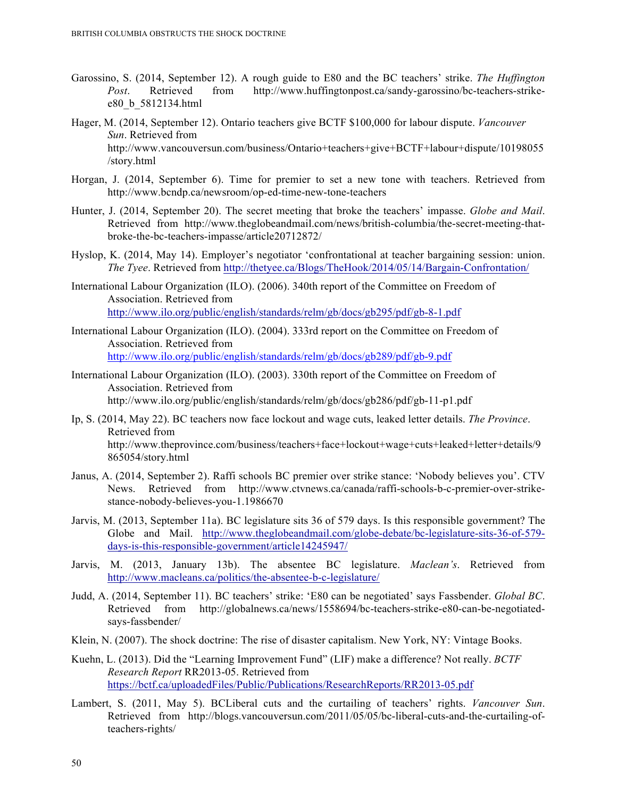- Garossino, S. (2014, September 12). A rough guide to E80 and the BC teachers' strike. *The Huffington Post*. Retrieved from http://www.huffingtonpost.ca/sandy-garossino/bc-teachers-strikee80\_b\_5812134.html
- Hager, M. (2014, September 12). Ontario teachers give BCTF \$100,000 for labour dispute. *Vancouver Sun*. Retrieved from http://www.vancouversun.com/business/Ontario+teachers+give+BCTF+labour+dispute/10198055 /story.html
- Horgan, J. (2014, September 6). Time for premier to set a new tone with teachers. Retrieved from http://www.bcndp.ca/newsroom/op-ed-time-new-tone-teachers
- Hunter, J. (2014, September 20). The secret meeting that broke the teachers' impasse. *Globe and Mail*. Retrieved from http://www.theglobeandmail.com/news/british-columbia/the-secret-meeting-thatbroke-the-bc-teachers-impasse/article20712872/
- Hyslop, K. (2014, May 14). Employer's negotiator 'confrontational at teacher bargaining session: union. *The Tyee*. Retrieved from http://thetyee.ca/Blogs/TheHook/2014/05/14/Bargain-Confrontation/
- International Labour Organization (ILO). (2006). 340th report of the Committee on Freedom of Association. Retrieved from http://www.ilo.org/public/english/standards/relm/gb/docs/gb295/pdf/gb-8-1.pdf
- International Labour Organization (ILO). (2004). 333rd report on the Committee on Freedom of Association. Retrieved from http://www.ilo.org/public/english/standards/relm/gb/docs/gb289/pdf/gb-9.pdf
- International Labour Organization (ILO). (2003). 330th report of the Committee on Freedom of Association. Retrieved from http://www.ilo.org/public/english/standards/relm/gb/docs/gb286/pdf/gb-11-p1.pdf
- Ip, S. (2014, May 22). BC teachers now face lockout and wage cuts, leaked letter details. *The Province*. Retrieved from http://www.theprovince.com/business/teachers+face+lockout+wage+cuts+leaked+letter+details/9 865054/story.html
- Janus, A. (2014, September 2). Raffi schools BC premier over strike stance: 'Nobody believes you'. CTV News. Retrieved from http://www.ctvnews.ca/canada/raffi-schools-b-c-premier-over-strikestance-nobody-believes-you-1.1986670
- Jarvis, M. (2013, September 11a). BC legislature sits 36 of 579 days. Is this responsible government? The Globe and Mail. http://www.theglobeandmail.com/globe-debate/bc-legislature-sits-36-of-579 days-is-this-responsible-government/article14245947/
- Jarvis, M. (2013, January 13b). The absentee BC legislature. *Maclean's*. Retrieved from http://www.macleans.ca/politics/the-absentee-b-c-legislature/
- Judd, A. (2014, September 11). BC teachers' strike: 'E80 can be negotiated' says Fassbender. *Global BC*. Retrieved from http://globalnews.ca/news/1558694/bc-teachers-strike-e80-can-be-negotiatedsays-fassbender/
- Klein, N. (2007). The shock doctrine: The rise of disaster capitalism. New York, NY: Vintage Books.
- Kuehn, L. (2013). Did the "Learning Improvement Fund" (LIF) make a difference? Not really. *BCTF Research Report* RR2013-05. Retrieved from https://bctf.ca/uploadedFiles/Public/Publications/ResearchReports/RR2013-05.pdf
- Lambert, S. (2011, May 5). BCLiberal cuts and the curtailing of teachers' rights. *Vancouver Sun*. Retrieved from http://blogs.vancouversun.com/2011/05/05/bc-liberal-cuts-and-the-curtailing-ofteachers-rights/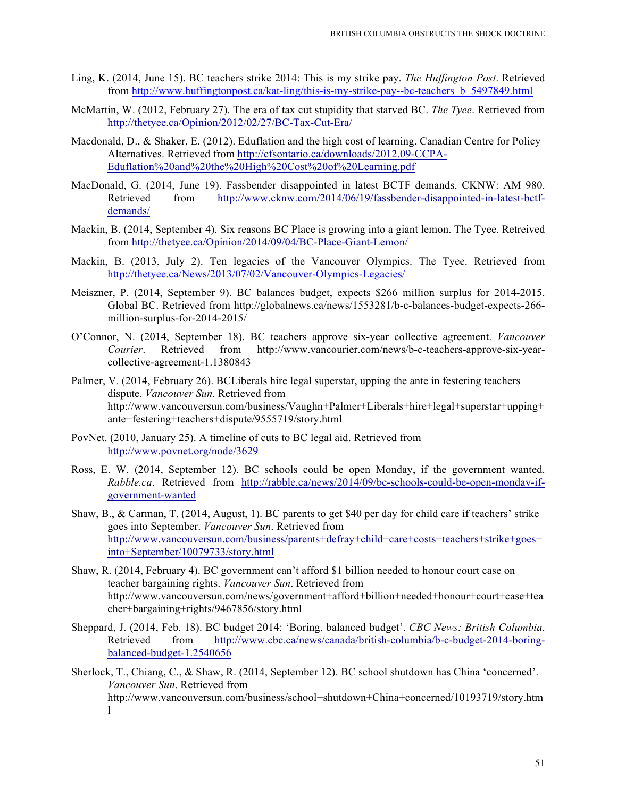- Ling, K. (2014, June 15). BC teachers strike 2014: This is my strike pay. *The Huffington Post*. Retrieved from http://www.huffingtonpost.ca/kat-ling/this-is-my-strike-pay--bc-teachers\_b\_5497849.html
- McMartin, W. (2012, February 27). The era of tax cut stupidity that starved BC. *The Tyee*. Retrieved from http://thetyee.ca/Opinion/2012/02/27/BC-Tax-Cut-Era/
- Macdonald, D., & Shaker, E. (2012). Eduflation and the high cost of learning. Canadian Centre for Policy Alternatives. Retrieved from http://cfsontario.ca/downloads/2012.09-CCPA-Eduflation%20and%20the%20High%20Cost%20of%20Learning.pdf
- MacDonald, G. (2014, June 19). Fassbender disappointed in latest BCTF demands. CKNW: AM 980. Retrieved from http://www.cknw.com/2014/06/19/fassbender-disappointed-in-latest-bctfdemands/
- Mackin, B. (2014, September 4). Six reasons BC Place is growing into a giant lemon. The Tyee. Retreived from http://thetyee.ca/Opinion/2014/09/04/BC-Place-Giant-Lemon/
- Mackin, B. (2013, July 2). Ten legacies of the Vancouver Olympics. The Tyee. Retrieved from http://thetyee.ca/News/2013/07/02/Vancouver-Olympics-Legacies/
- Meiszner, P. (2014, September 9). BC balances budget, expects \$266 million surplus for 2014-2015. Global BC. Retrieved from http://globalnews.ca/news/1553281/b-c-balances-budget-expects-266 million-surplus-for-2014-2015/
- O'Connor, N. (2014, September 18). BC teachers approve six-year collective agreement. *Vancouver Courier*. Retrieved from http://www.vancourier.com/news/b-c-teachers-approve-six-yearcollective-agreement-1.1380843
- Palmer, V. (2014, February 26). BCLiberals hire legal superstar, upping the ante in festering teachers dispute. *Vancouver Sun*. Retrieved from http://www.vancouversun.com/business/Vaughn+Palmer+Liberals+hire+legal+superstar+upping+ ante+festering+teachers+dispute/9555719/story.html
- PovNet. (2010, January 25). A timeline of cuts to BC legal aid. Retrieved from http://www.povnet.org/node/3629
- Ross, E. W. (2014, September 12). BC schools could be open Monday, if the government wanted. *Rabble.ca*. Retrieved from http://rabble.ca/news/2014/09/bc-schools-could-be-open-monday-ifgovernment-wanted
- Shaw, B., & Carman, T. (2014, August, 1). BC parents to get \$40 per day for child care if teachers' strike goes into September. *Vancouver Sun*. Retrieved from http://www.vancouversun.com/business/parents+defray+child+care+costs+teachers+strike+goes+ into+September/10079733/story.html
- Shaw, R. (2014, February 4). BC government can't afford \$1 billion needed to honour court case on teacher bargaining rights. *Vancouver Sun*. Retrieved from http://www.vancouversun.com/news/government+afford+billion+needed+honour+court+case+tea cher+bargaining+rights/9467856/story.html
- Sheppard, J. (2014, Feb. 18). BC budget 2014: 'Boring, balanced budget'. *CBC News: British Columbia*. Retrieved from http://www.cbc.ca/news/canada/british-columbia/b-c-budget-2014-boringbalanced-budget-1.2540656
- Sherlock, T., Chiang, C., & Shaw, R. (2014, September 12). BC school shutdown has China 'concerned'. *Vancouver Sun*. Retrieved from http://www.vancouversun.com/business/school+shutdown+China+concerned/10193719/story.htm l